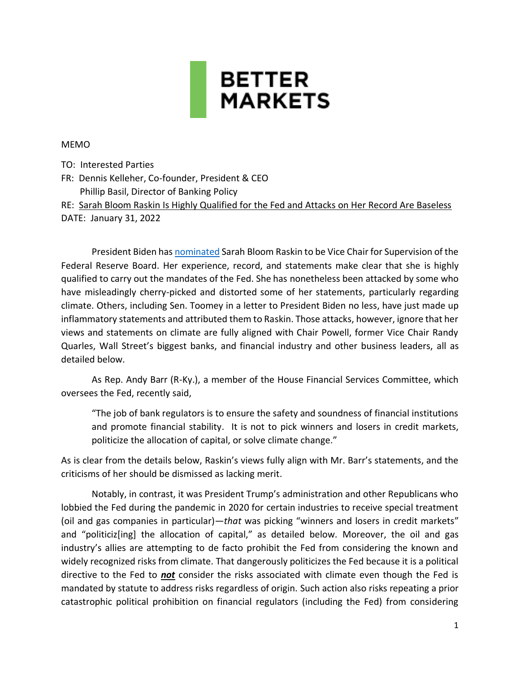

#### MEMO

TO: Interested Parties

FR: Dennis Kelleher, Co-founder, President & CEO Phillip Basil, Director of Banking Policy

RE: Sarah Bloom Raskin Is Highly Qualified for the Fed and Attacks on Her Record Are Baseless DATE: January 31, 2022

President Biden has [nominated](https://www.whitehouse.gov/briefing-room/statements-releases/2022/01/14/president-biden-nominates-sarah-bloom-raskin-to-serve-as-vice-chair-for-supervision-of-the-federal-reserve-and-lisa-cook-and-philip-jefferson-to-serve-as-governors/) Sarah Bloom Raskin to be Vice Chair for Supervision of the Federal Reserve Board. Her experience, record, and statements make clear that she is highly qualified to carry out the mandates of the Fed. She has nonetheless been attacked by some who have misleadingly cherry-picked and distorted some of her statements, particularly regarding climate. Others, including Sen. Toomey in a letter to President Biden no less, have just made up inflammatory statements and attributed them to Raskin. Those attacks, however, ignore that her views and statements on climate are fully aligned with Chair Powell, former Vice Chair Randy Quarles, Wall Street's biggest banks, and financial industry and other business leaders, all as detailed below.

As Rep. Andy Barr (R-Ky.), a member of the House Financial Services Committee, which oversees the Fed, recently said,

"The job of bank regulators is to ensure the safety and soundness of financial institutions and promote financial stability. It is not to pick winners and losers in credit markets, politicize the allocation of capital, or solve climate change."

As is clear from the details below, Raskin's views fully align with Mr. Barr's statements, and the criticisms of her should be dismissed as lacking merit.

Notably, in contrast, it was President Trump's administration and other Republicans who lobbied the Fed during the pandemic in 2020 for certain industries to receive special treatment (oil and gas companies in particular) — that was picking "winners and losers in credit markets" and "politiciz[ing] the allocation of capital," as detailed below. Moreover, the oil and gas industry's allies are attempting to de facto prohibit the Fed from considering the known and widely recognized risks from climate. That dangerously politicizes the Fed because it is a political directive to the Fed to *not* consider the risks associated with climate even though the Fed is mandated by statute to address risks regardless of origin. Such action also risks repeating a prior catastrophic political prohibition on financial regulators (including the Fed) from considering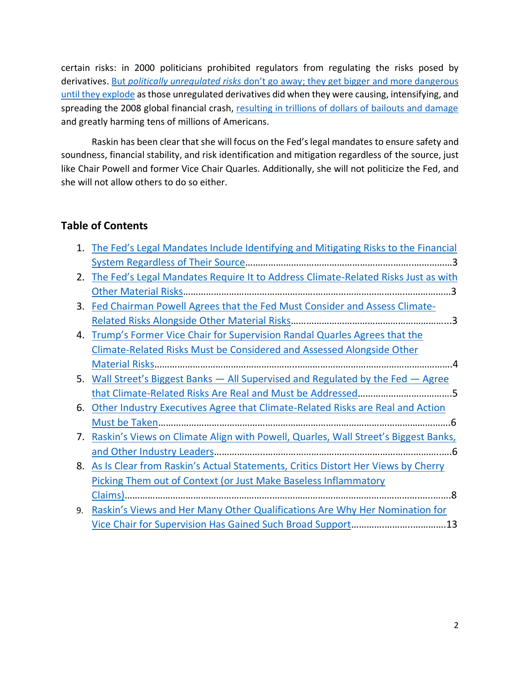certain risks: in 2000 politicians prohibited regulators from regulating the risks posed by derivatives. But *[politically unregulated risks](https://bettermarkets.org/impact/dennis-kellehers-testimony-senate-banking-committee-0/)* don't go away; they get bigger and more dangerous [until they](https://bettermarkets.org/impact/dennis-kellehers-testimony-senate-banking-committee-0/) explode as those unregulated derivatives did when they were causing, intensifying, and spreading the 2008 global financial crash, [resulting in trillions of dollars of bailouts and damage](https://bettermarkets.org/sites/default/files/Better%20Markets%20-%20Cost%20of%20the%20Crisis.pdf) and greatly harming tens of millions of Americans.

Raskin has been clear that she will focus on the Fed's legal mandates to ensure safety and soundness, financial stability, and risk identification and mitigation regardless of the source, just like Chair Powell and former Vice Chair Quarles. Additionally, she will not politicize the Fed, and she will not allow others to do so either.

# **Table of Contents**

|    | 1. The Fed's Legal Mandates Include Identifying and Mitigating Risks to the Financial |
|----|---------------------------------------------------------------------------------------|
|    |                                                                                       |
|    | 2. The Fed's Legal Mandates Require It to Address Climate-Related Risks Just as with  |
|    |                                                                                       |
| 3. | Fed Chairman Powell Agrees that the Fed Must Consider and Assess Climate-             |
|    |                                                                                       |
|    | 4. Trump's Former Vice Chair for Supervision Randal Quarles Agrees that the           |
|    | Climate-Related Risks Must be Considered and Assessed Alongside Other                 |
|    |                                                                                       |
|    | 5. Wall Street's Biggest Banks - All Supervised and Regulated by the Fed - Agree      |
|    |                                                                                       |
| 6. | Other Industry Executives Agree that Climate-Related Risks are Real and Action        |
|    |                                                                                       |
| 7. | Raskin's Views on Climate Align with Powell, Quarles, Wall Street's Biggest Banks,    |
|    |                                                                                       |
| 8. | As Is Clear from Raskin's Actual Statements, Critics Distort Her Views by Cherry      |
|    | Picking Them out of Context (or Just Make Baseless Inflammatory                       |
|    |                                                                                       |
| 9. | Raskin's Views and Her Many Other Qualifications Are Why Her Nomination for           |
|    |                                                                                       |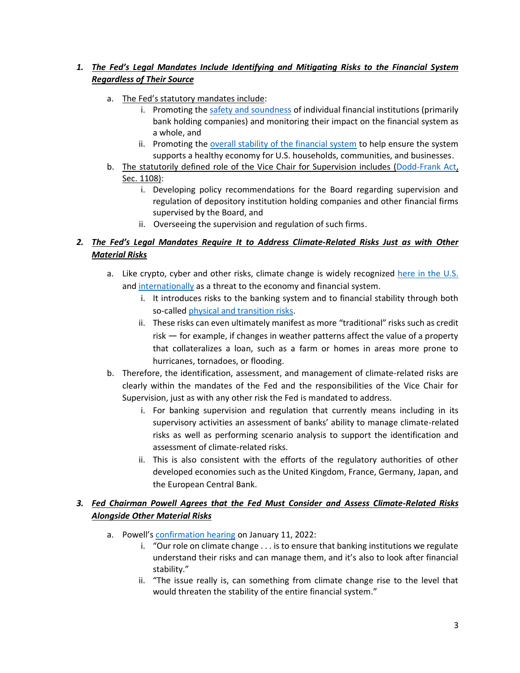### <span id="page-2-0"></span>1. *The Fed's Legal Mandates Include Identifying and Mitigating Risks to the Financial System Regardless of Their Source*

- a. The Fed's statutory mandates include:
	- i. Promoting the [safety and soundness](https://www.federalreserve.gov/aboutthefed/files/the-fed-explained.pdf#page=66) of individual financial institutions (primarily bank holding companies) and monitoring their impact on the financial system as a whole, and
	- ii. Promoting the [overall stability of the financial system](https://www.federalreserve.gov/aboutthefed/files/the-fed-explained.pdf#page=50) to help ensure the system supports a healthy economy for U.S. households, communities, and businesses.
- b. The statutorily defined role of the Vice Chair for Supervision includes [\(Dodd-Frank Act,](https://www.govinfo.gov/content/pkg/PLAW-111publ203/pdf/PLAW-111publ203.pdf) Sec. 1108):
	- i. Developing policy recommendations for the Board regarding supervision and regulation of depository institution holding companies and other financial firms supervised by the Board, and
	- ii. Overseeing the supervision and regulation of such firms.

### <span id="page-2-1"></span>2. *The Fed's Legal Mandates Require It to Address Climate-Related Risks Just as with Other Material Risks*

- a. Like crypto, cyber and other risks, climate change is widely recognized [here in the U.S.](https://home.treasury.gov/news/press-releases/jy0426) and [internationally](https://www.bis.org/topic/green_finance.htm) as a threat to the economy and financial system.
	- i. It introduces risks to the banking system and to financial stability through both so-called [physical and transition risks.](https://www.bis.org/bcbs/publ/d517.pdf)
	- ii. These risks can even ultimately manifest as more "traditional" risks such as credit  $risk$  – for example, if changes in weather patterns affect the value of a property that collateralizes a loan, such as a farm or homes in areas more prone to hurricanes, tornadoes, or flooding.
- b. Therefore, the identification, assessment, and management of climate-related risks are clearly within the mandates of the Fed and the responsibilities of the Vice Chair for Supervision, just as with any other risk the Fed is mandated to address.
	- i. For banking supervision and regulation that currently means including in its supervisory activities an assessment of banks' ability to manage climate-related risks as well as performing scenario analysis to support the identification and assessment of climate-related risks.
	- ii. This is also consistent with the efforts of the regulatory authorities of other developed economies such as the United Kingdom, France, Germany, Japan, and the European Central Bank.

### <span id="page-2-2"></span>*3. Fed Chairman Powell Agrees that the Fed Must Consider and Assess Climate-Related Risks Alongside Other Material Risks*

- a. Powell's [confirmation hearing](https://www.youtube.com/watch?v=0a8j1Tgdg2k) on January 11, 2022:
	- i. "Our role on climate change  $\dots$  is to ensure that banking institutions we regulate understand their risks and can manage them, and it's also to look after financial stability."
	- ii. "The issue really is, can something from climate change rise to the level that would threaten the stability of the entire financial system.<sup>"</sup>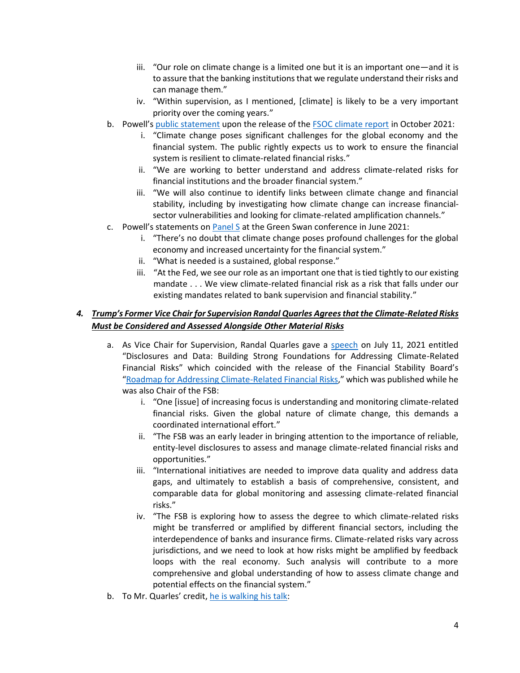- $i$ iii. "Our role on climate change is a limited one but it is an important one and it is to assure that the banking institutions that we regulate understand their risks and can manage them."
- iv. "Within supervision, as I mentioned, [climate] is likely to be a very important priority over the coming years."
- b. Powell's [public statement](https://www.federalreserve.gov/newsevents/pressreleases/other20211021c.htm) upon the release of the [FSOC climate report](https://home.treasury.gov/news/press-releases/jy0426) in October 2021:
	- i. "Climate change poses significant challenges for the global economy and the financial system. The public rightly expects us to work to ensure the financial system is resilient to climate-related financial risks."
	- ii. "We are working to better understand and address climate-related risks for financial institutions and the broader financial system."
	- iii. "We will also continue to identify links between climate change and financial stability, including by investigating how climate change can increase financialsector vulnerabilities and looking for climate-related amplification channels.<sup>"</sup>
- c. Powell's statements on [Panel S](https://www.youtube.com/watch?v=KqssyOR8t9s) at the Green Swan conference in June 2021:
	- i. "There's no doubt that climate change poses profound challenges for the global economy and increased uncertainty for the financial system."
	- ii. "What is needed is a sustained, global response."
	- iii. "At the Fed, we see our role as an important one that is tied tightly to our existing mandate . . . We view climate-related financial risk as a risk that falls under our existing mandates related to bank supervision and financial stability."

### <span id="page-3-0"></span>*4. dƌƵŵƉ͛ƐFormer Vice Chair for Supervision Randal Quarles Agrees that the Climate-Related Risks Must be Considered and Assessed Alongside Other Material Risks*

- a. As Vice Chair for Supervision, Randal Quarles gave a [speech](https://www.federalreserve.gov/newsevents/speech/quarles20210711a.htm) on July 11, 2021 entitled "Disclosures and Data: Building Strong Foundations for Addressing Climate-Related Financial Risks" which coincided with the release of the Financial Stability Board's ͞[Roadmap for Addressing Climate-Related Financial Risks,](https://www.fsb.org/2021/07/fsb-roadmap-for-addressing-climate-related-financial-risks/)͟ which was published while he was also Chair of the FSB:
	- i. "One [issue] of increasing focus is understanding and monitoring climate-related financial risks. Given the global nature of climate change, this demands a coordinated international effort."
	- ii. "The FSB was an early leader in bringing attention to the importance of reliable, entity-level disclosures to assess and manage climate-related financial risks and opportunities.͟
	- iii. "International initiatives are needed to improve data quality and address data gaps, and ultimately to establish a basis of comprehensive, consistent, and comparable data for global monitoring and assessing climate-related financial risks.͟
	- iv. "The FSB is exploring how to assess the degree to which climate-related risks might be transferred or amplified by different financial sectors, including the interdependence of banks and insurance firms. Climate-related risks vary across jurisdictions, and we need to look at how risks might be amplified by feedback loops with the real economy. Such analysis will contribute to a more comprehensive and global understanding of how to assess climate change and potential effects on the financial system."
- b. To Mr. Quarles' credit, [he is walking his talk:](https://twitter.com/michaelsderby/status/1486013566293585920?s=27)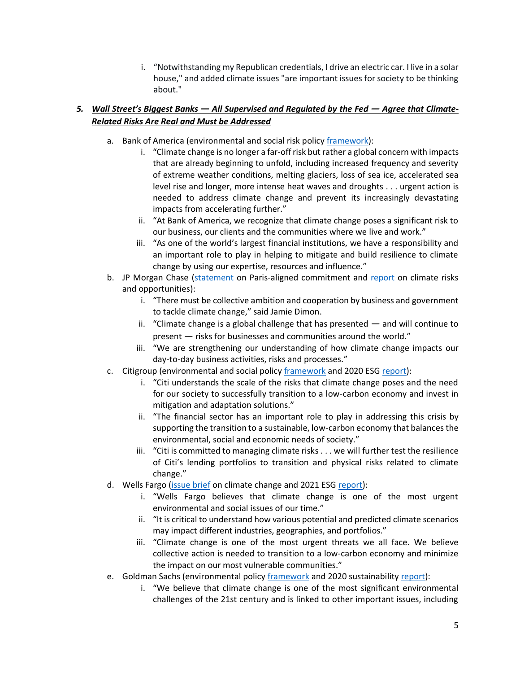i. "Notwithstanding my Republican credentials, I drive an electric car. I live in a solar house," and added climate issues "are important issues for society to be thinking about."

### <span id="page-4-0"></span>*5. Wall Street's Biggest Banks — All Supervised and Regulated by the Fed — Agree that Climate-Related Risks Are Real and Must be Addressed*

- a. Bank of America (environmental and social risk policy [framework\)](https://about.bankofamerica.com/content/dam/about/pdfs/environmental-and-social-risk-policy-framework-report.pdf):
	- i. "Climate change is no longer a far-off risk but rather a global concern with impacts that are already beginning to unfold, including increased frequency and severity of extreme weather conditions, melting glaciers, loss of sea ice, accelerated sea level rise and longer, more intense heat waves and droughts . . . urgent action is needed to address climate change and prevent its increasingly devastating impacts from accelerating further."
	- ii. "At Bank of America, we recognize that climate change poses a significant risk to our business, our clients and the communities where we live and work."
	- iii. "As one of the world's largest financial institutions, we have a responsibility and an important role to play in helping to mitigate and build resilience to climate change by using our expertise, resources and influence."
- b. JP Morgan Chase [\(statement](https://www.jpmorganchase.com/news-stories/jpmorgan-chase-releases-carbon-reduction-targets-for-paris-aligned-financing-commitment) on Paris-aligned commitment and [report](https://www.jpmorganchase.com/content/dam/jpmc/jpmorgan-chase-and-co/documents/jpmc-cr-climate-report-2019.pdf) on climate risks and opportunities):
	- i. "There must be collective ambition and cooperation by business and government to tackle climate change," said Jamie Dimon.
	- ii. "Climate change is a global challenge that has presented  $-$  and will continue to present – risks for businesses and communities around the world.<sup>"</sup>
	- iii. "We are strengthening our understanding of how climate change impacts our day-to-day business activities, risks and processes."
- c. Citigroup (environmental and social polic[y framework](https://www.citigroup.com/citi/sustainability/data/Environmental-and-Social-Policy-Framework.pdf) and 2020 ESG [report\)](https://www.citigroup.com/citi/about/esg/download/2020/Global-ESG-Report-2020.pdf?ieNocache=526):
	- i. "Citi understands the scale of the risks that climate change poses and the need for our society to successfully transition to a low-carbon economy and invest in mitigation and adaptation solutions."
	- ii. "The financial sector has an important role to play in addressing this crisis by supporting the transition to a sustainable, low-carbon economy that balances the environmental, social and economic needs of society."
	- $i$ iii. "Citi is committed to managing climate risks . . . we will further test the resilience of Citi's lending portfolios to transition and physical risks related to climate change."
- d. Wells Fargo [\(issue brief](https://www08.wellsfargomedia.com/assets/pdf/about/corporate-responsibility/climate-change-issue-brief.pdf) on climate change and 2021 ESG [report\)](https://www08.wellsfargomedia.com/assets/pdf/about/corporate-responsibility/environmental-social-governance-report.pdf):
	- i. "Wells Fargo believes that climate change is one of the most urgent environmental and social issues of our time."
	- ii. "It is critical to understand how various potential and predicted climate scenarios may impact different industries, geographies, and portfolios."
	- iii. "Climate change is one of the most urgent threats we all face. We believe collective action is needed to transition to a low-carbon economy and minimize the impact on our most vulnerable communities."
- e. Goldman Sachs (environmental policy [framework](https://www.goldmansachs.com/s/environmental-policy-framework/) and 2020 sustainability [report\)](https://www.goldmansachs.com/our-commitments/sustainability/sustainable-finance/documents/reports/2020-sustainability-report.pdf?source=website):
	- i. "We believe that climate change is one of the most significant environmental challenges of the 21st century and is linked to other important issues, including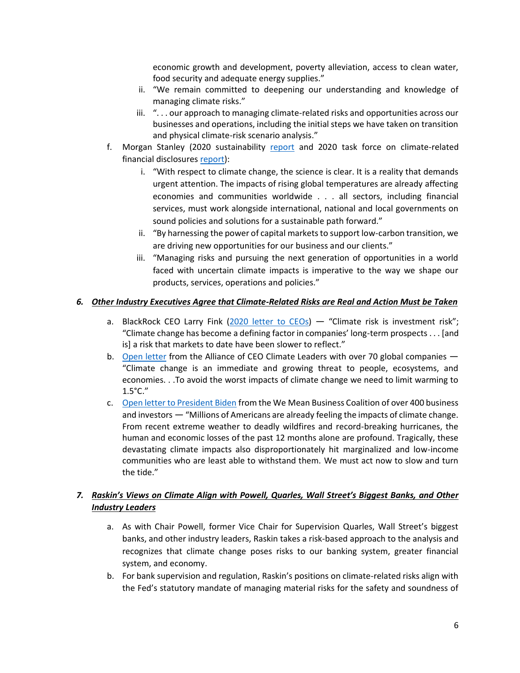economic growth and development, poverty alleviation, access to clean water, food security and adequate energy supplies."

- ii. "We remain committed to deepening our understanding and knowledge of managing climate risks."
- iii. "... our approach to managing climate-related risks and opportunities across our businesses and operations, including the initial steps we have taken on transition and physical climate-risk scenario analysis."
- f. Morgan Stanley (2020 sustainability [report](https://www.morganstanley.com/content/dam/msdotcom/sustainability/Morgan-Stanley_2020-Sustainability-Report_Final.pdf) and 2020 task force on climate-related financial disclosures [report\)](https://www.morganstanley.com/content/dam/msdotcom/en/assets/pdfs/Morgan_Stanley_TCFD_Report_2020.pdf):
	- i. "With respect to climate change, the science is clear. It is a reality that demands urgent attention. The impacts of rising global temperatures are already affecting economies and communities worldwide . . . all sectors, including financial services, must work alongside international, national and local governments on sound policies and solutions for a sustainable path forward."
	- ii. "By harnessing the power of capital markets to support low-carbon transition, we are driving new opportunities for our business and our clients."
	- iii. "Managing risks and pursuing the next generation of opportunities in a world faced with uncertain climate impacts is imperative to the way we shape our products, services, operations and policies."

### <span id="page-5-0"></span>*6. Other Industry Executives Agree that Climate-Related Risks are Real and Action Must be Taken*

- a. BlackRock CEO Larry Fink [\(2020 letter to CEOs\)](https://www.blackrock.com/corporate/investor-relations/2020-larry-fink-ceo-letter)  $-$  "Climate risk is investment risk"; "Climate change has become a defining factor in companies' long-term prospects . . . [and is] a risk that markets to date have been slower to reflect."
- b. [Open letter](https://www.weforum.org/agenda/2021/06/supercharging-public-private-efforts-in-the-race-to-net-zero-and-climate-resilience) from the Alliance of CEO Climate Leaders with over 70 global companies  $-$ ͞Climate change is an immediate and growing threat to people, ecosystems, and economies. . .To avoid the worst impacts of climate change we need to limit warming to  $1.5^{\circ}$ C."
- c. Open letter [to President Biden](https://www.wemeanbusinesscoalition.org/ambitious-u-s-2030-ndc/) from the We Mean Business Coalition of over 400 business and investors  $-$  "Millions of Americans are already feeling the impacts of climate change. From recent extreme weather to deadly wildfires and record-breaking hurricanes, the human and economic losses of the past 12 months alone are profound. Tragically, these devastating climate impacts also disproportionately hit marginalized and low-income communities who are least able to withstand them. We must act now to slow and turn the tide."

### <span id="page-5-1"></span>*7. Raskin's Views on Climate Align with Powell, Quarles, Wall Street's Biggest Banks, and Other Industry Leaders*

- a. As with Chair Powell, former Vice Chair for Supervision Quarles, Wall Street's biggest banks, and other industry leaders, Raskin takes a risk-based approach to the analysis and recognizes that climate change poses risks to our banking system, greater financial system, and economy.
- b. For bank supervision and regulation, Raskin's positions on climate-related risks align with the Fed's statutory mandate of managing material risks for the safety and soundness of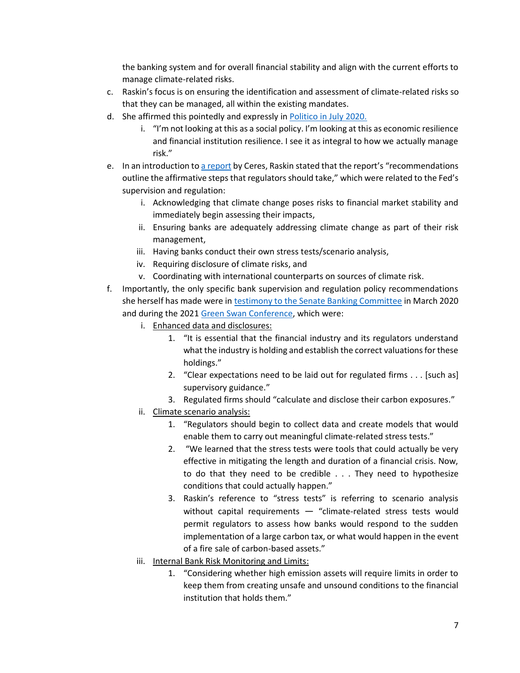the banking system and for overall financial stability and align with the current efforts to manage climate-related risks.

- c. Raskin's focus is on ensuring the identification and assessment of climate-related risks so that they can be managed, all within the existing mandates.
- d. She affirmed this pointedly and expressly in [Politico in July 2020.](https://www.politico.com/news/agenda/2020/07/14/federal-reserve-climate-change-341820)
	- i. "I'm not looking at this as a social policy. I'm looking at this as economic resilience and financial institution resilience. I see it as integral to how we actually manage risk."
- e. In an introduction to [a report](https://www.ceres.org/sites/default/files/reports/2020-06/Financial%20Regulators%20FULL%20FINAL.pdf) by Ceres, Raskin stated that the report's "recommendations" outline the affirmative steps that regulators should take," which were related to the Fed's supervision and regulation:
	- i. Acknowledging that climate change poses risks to financial market stability and immediately begin assessing their impacts,
	- ii. Ensuring banks are adequately addressing climate change as part of their risk management,
	- iii. Having banks conduct their own stress tests/scenario analysis,
	- iv. Requiring disclosure of climate risks, and
	- v. Coordinating with international counterparts on sources of climate risk.
- f. Importantly, the only specific bank supervision and regulation policy recommendations she herself has made were in [testimony to the Senate Banking Committee](https://sites.law.duke.edu/thefinregblog/2020/03/17/testimony-of-the-honorable-sarah-bloom-raskin-before-the-senate-democrats-special-committee-on-the-climate-crisis/) in March 2020 and during the 2021 [Green Swan Conference,](https://www.youtube.com/watch?v=NhiWgJdiMSM) which were:
	- i. Enhanced data and disclosures:
		- 1. ͞/t is essential that the financial industry and its regulators understand what the industry is holding and establish the correct valuations for these holdings."
		- 2. "Clear expectations need to be laid out for regulated firms . . . [such as] supervisory guidance.<sup>"</sup>
		- 3. Regulated firms should "calculate and disclose their carbon exposures."
	- ii. Climate scenario analysis:
		- 1. "Regulators should begin to collect data and create models that would enable them to carry out meaningful climate-related stress tests."
		- 2. "We learned that the stress tests were tools that could actually be very effective in mitigating the length and duration of a financial crisis. Now, to do that they need to be credible . . . They need to hypothesize conditions that could actually happen."
		- 3. Raskin's reference to "stress tests" is referring to scenario analysis without capital requirements  $-$  "climate-related stress tests would permit regulators to assess how banks would respond to the sudden implementation of a large carbon tax, or what would happen in the event of a fire sale of carbon-based assets."
	- iii. Internal Bank Risk Monitoring and Limits:
		- 1. "Considering whether high emission assets will require limits in order to keep them from creating unsafe and unsound conditions to the financial institution that holds them."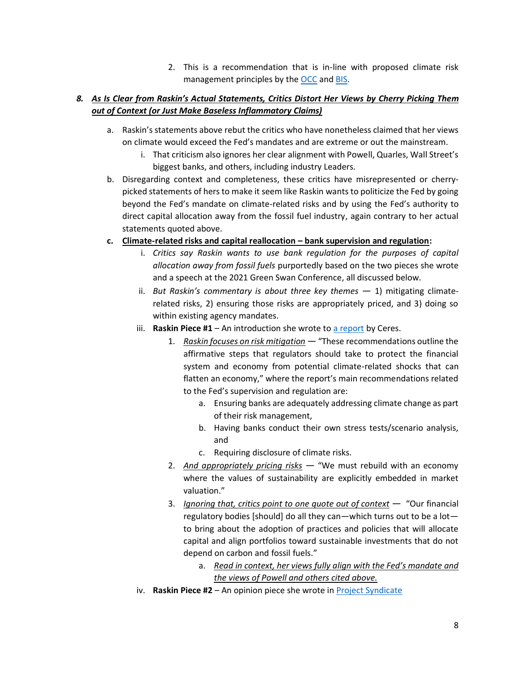2. This is a recommendation that is in-line with proposed climate risk management principles by the [OCC](https://www.occ.treas.gov/news-issuances/bulletins/2021/bulletin-2021-62a.pdf) and [BIS.](https://www.bis.org/bcbs/publ/d530.pdf)

## <span id="page-7-0"></span>*8. As Is Clear from ZĂƐŬŝŶ͛ƐĐƚƵĂů^ƚĂƚĞŵĞŶƚƐ͕Critics Distort Her Views by Cherry Picking Them out of Context (or Just Make Baseless Inflammatory Claims)*

- a. Raskin's statements above rebut the critics who have nonetheless claimed that her views on climate would exceed the Fed's mandates and are extreme or out the mainstream.
	- i. That criticism also ignores her clear alignment with Powell, Quarles, Wall Street's biggest banks, and others, including industry Leaders.
- b. Disregarding context and completeness, these critics have misrepresented or cherrypicked statements of hers to make it seem like Raskin wants to politicize the Fed by going beyond the Fed's mandate on climate-related risks and by using the Fed's authority to direct capital allocation away from the fossil fuel industry, again contrary to her actual statements quoted above.
- **c. Climate-related risks and capital reallocation ʹ bank supervision and regulation:**
	- i. *Critics say Raskin wants to use bank regulation for the purposes of capital allocation away from fossil fuels* purportedly based on the two pieces she wrote and a speech at the 2021 Green Swan Conference, all discussed below.
	- ii. *But Raskin's commentary is about three key themes*  $-1$ ) mitigating climaterelated risks, 2) ensuring those risks are appropriately priced, and 3) doing so within existing agency mandates.
	- iii. **Raskin Piece #1** An introduction she wrote to  $\frac{a \text{ report}}{b}$  by Ceres.
		- 1. *Raskin focuses on risk mitigation* "These recommendations outline the affirmative steps that regulators should take to protect the financial system and economy from potential climate-related shocks that can flatten an economy," where the report's main recommendations related to the Fed's supervision and regulation are:
			- a. Ensuring banks are adequately addressing climate change as part of their risk management,
			- b. Having banks conduct their own stress tests/scenario analysis, and
			- c. Requiring disclosure of climate risks.
		- 2. *And appropriately pricing risks* "We must rebuild with an economy where the values of sustainability are explicitly embedded in market valuation."
		- 3. *Ignoring that, critics point to one quote out of context*  $-$  "Our financial regulatory bodies [should] do all they can-which turns out to be a lotto bring about the adoption of practices and policies that will allocate capital and align portfolios toward sustainable investments that do not depend on carbon and fossil fuels."
			- a. Read in context, her views fully align with the Fed's mandate and *the views of Powell and others cited above.*
	- iv. **Raskin Piece #2** An opinion piece she wrote in [Project Syndicate](https://www.project-syndicate.org/onpoint/us-financial-regulators-climate-change-by-sarah-bloom-raskin-2021-09)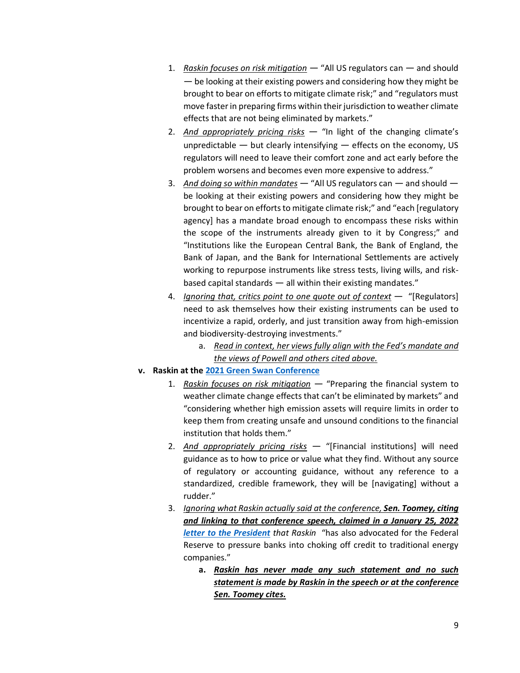- 1. *Raskin focuses on risk mitigation* "All US regulators can and should  $-$  be looking at their existing powers and considering how they might be brought to bear on efforts to mitigate climate risk;" and "regulators must move faster in preparing firms within their jurisdiction to weather climate effects that are not being eliminated by markets."
- 2. *And appropriately pricing risks* "In light of the changing climate's unpredictable  $-$  but clearly intensifying  $-$  effects on the economy, US regulators will need to leave their comfort zone and act early before the problem worsens and becomes even more expensive to address."
- 3. And doing so within mandates "All US regulators can and should be looking at their existing powers and considering how they might be brought to bear on efforts to mitigate climate risk;" and "each [regulatory agency] has a mandate broad enough to encompass these risks within the scope of the instruments already given to it by Congress;" and "Institutions like the European Central Bank, the Bank of England, the Bank of Japan, and the Bank for International Settlements are actively working to repurpose instruments like stress tests, living wills, and riskbased capital standards  $-$  all within their existing mandates. $"$
- *A. Ignoring that, critics point to one quote out of context*  $-$  "[Regulators] need to ask themselves how their existing instruments can be used to incentivize a rapid, orderly, and just transition away from high-emission and biodiversity-destroying investments."
	- a. Read in context, her views fully align with the Fed's mandate and *the views of Powell and others cited above.*

#### **v. Raskin at the [2021 Green Swan Conference](https://www.youtube.com/watch?v=NhiWgJdiMSM)**

- 1. *Raskin focuses on risk mitigation* "Preparing the financial system to weather climate change effects that can't be eliminated by markets" and ͞considering whether high emission assets will require limits in order to keep them from creating unsafe and unsound conditions to the financial institution that holds them."
- 2. *And appropriately pricing risks* "[Financial institutions] will need guidance as to how to price or value what they find. Without any source of regulatory or accounting guidance, without any reference to a standardized, credible framework, they will be [navigating] without a rudder."
- 3. *Ignoring what Raskin actually said at the conference, Sen. Toomey, citing and linking to that conference speech, claimed in a January 25, 2022 [letter to the President](https://www.banking.senate.gov/imo/media/doc/toomey_to_biden_on_fed_geographic_diversity.pdf) that Raskin* "has also advocated for the Federal Reserve to pressure banks into choking off credit to traditional energy companies."
	- **a.** *Raskin has never made any such statement and no such statement is made by Raskin in the speech or at the conference Sen. Toomey cites.*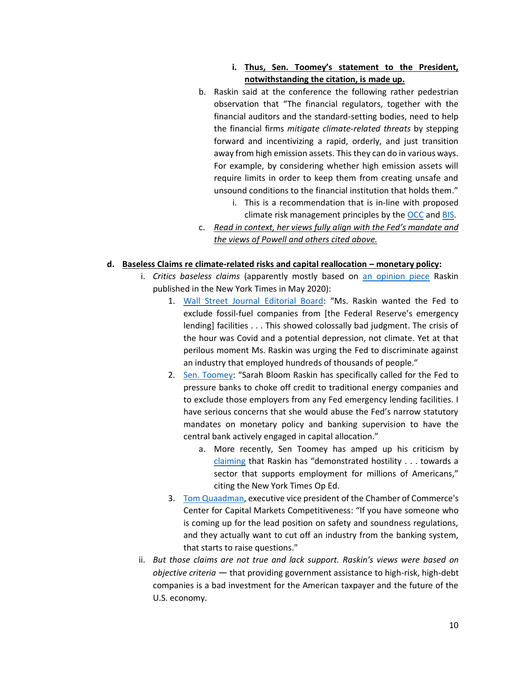### i. **Thus, Sen. Toomey's statement to the President, notwithstanding the citation, is made up.**

- b. Raskin said at the conference the following rather pedestrian observation that "The financial regulators, together with the financial auditors and the standard-setting bodies, need to help the financial firms *mitigate climate-related threats* by stepping forward and incentivizing a rapid, orderly, and just transition away from high emission assets. This they can do in various ways. For example, by considering whether high emission assets will require limits in order to keep them from creating unsafe and unsound conditions to the financial institution that holds them."
	- i. This is a recommendation that is in-line with proposed climate risk management principles by the [OCC](https://www.occ.treas.gov/news-issuances/bulletins/2021/bulletin-2021-62a.pdf) an[d BIS.](https://www.bis.org/bcbs/publ/d530.pdf)
- c. Read in context, her views fully align with the Fed's mandate and *the views of Powell and others cited above.*

#### **d. Baseless Claims re climate-related risks and capital reallocation ʹ monetary policy:**

- i. *Critics baseless claims* (apparently mostly based on [an opinion piece](https://www.nytimes.com/2020/05/28/opinion/fed-fossil-fuels.html) Raskin published in the New York Times in May 2020):
	- 1. [Wall Street Journal Editorial Board:](https://www.wsj.com/articles/biden-plays-capture-the-fed-sarah-bloom-raskin-nominee-11642457683?mod=Searchresults_pos2&page=1) "Ms. Raskin wanted the Fed to exclude fossil-fuel companies from [the Federal Reserve's emergency lending] facilities . . . This showed colossally bad judgment. The crisis of the hour was Covid and a potential depression, not climate. Yet at that perilous moment Ms. Raskin was urging the Fed to discriminate against an industry that employed hundreds of thousands of people.<sup>"</sup>
	- 2. [Sen. Toomey:](https://www.banking.senate.gov/newsroom/minority/toomey-statement-on-president-bidens-fed-nominees) "Sarah Bloom Raskin has specifically called for the Fed to pressure banks to choke off credit to traditional energy companies and to exclude those employers from any Fed emergency lending facilities. I have serious concerns that she would abuse the Fed's narrow statutory mandates on monetary policy and banking supervision to have the central bank actively engaged in capital allocation.<sup>"</sup>
		- a. More recently, Sen Toomey has amped up his criticism by [claiming](https://www.banking.senate.gov/imo/media/doc/toomey_to_biden_on_fed_geographic_diversity.pdf) that Raskin has "demonstrated hostility . . . towards a sector that supports employment for millions of Americans," citing the New York Times Op Ed.
	- 3. [Tom Quaadman,](https://www.reuters.com/business/us-chamber-issues-rare-warning-fed-nominee-raskin-citing-oil-gas-views-2022-01-28/) executive vice president of the Chamber of Commerce's Center for Capital Markets Competitiveness: "If you have someone who is coming up for the lead position on safety and soundness regulations, and they actually want to cut off an industry from the banking system, that starts to raise questions."
- ii. But those claims are not true and lack support. Raskin's views were based on *objective criteria* – that providing government assistance to high-risk, high-debt companies is a bad investment for the American taxpayer and the future of the U.S. economy.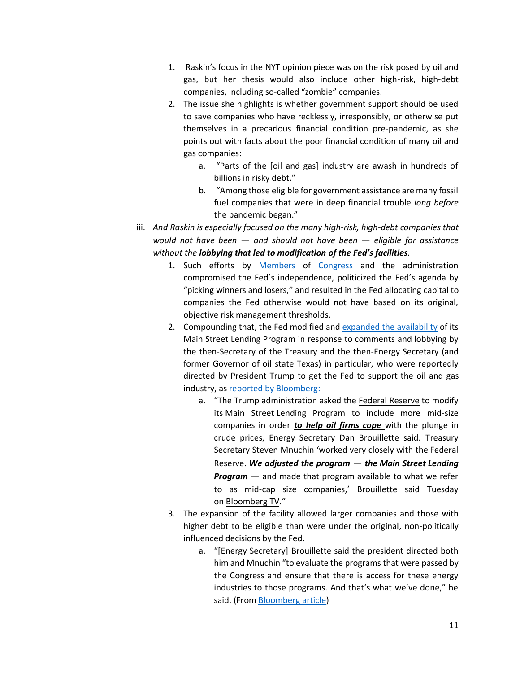- 1. Raskin's focus in the NYT opinion piece was on the risk posed by oil and gas, but her thesis would also include other high-risk, high-debt companies, including so-called "zombie" companies.
- 2. The issue she highlights is whether government support should be used to save companies who have recklessly, irresponsibly, or otherwise put themselves in a precarious financial condition pre-pandemic, as she points out with facts about the poor financial condition of many oil and gas companies:
	- a. "Parts of the [oil and gas] industry are awash in hundreds of billions in risky debt."
	- b. "Among those eligible for government assistance are many fossil fuel companies that were in deep financial trouble *long before* the pandemic began."
- iii. *And Raskin is especially focused on the many high-risk, high-debt companies that would not have been*  $-$  *and should not have been*  $-$  *eligible for assistance without the lobbying that led to modification of the Fed's facilities.* 
	- 1. Such efforts by [Members](https://www.cruz.senate.gov/imo/media/doc/Letters/4.24.2020%20Oil%20Gas%20Fed%20Lending%20Facility%20Letter.pdf) of [Congress](https://senatorkevincramer.app.box.com/s/981sfgn44nmkr8fq5hhf6xryxro6fyvp) and the administration compromised the Fed's independence, politicized the Fed's agenda by "picking winners and losers," and resulted in the Fed allocating capital to companies the Fed otherwise would not have based on its original, objective risk management thresholds.
	- 2. Compounding that, the Fed modified and [expanded the availability](https://www.federalreserve.gov/newsevents/pressreleases/monetary20200430a.htm) of its Main Street Lending Program in response to comments and lobbying by the then-Secretary of the Treasury and the then-Energy Secretary (and former Governor of oil state Texas) in particular, who were reportedly directed by President Trump to get the Fed to support the oil and gas industry, as [reported by Bloomberg:](https://www.bloomberg.com/news/articles/2020-05-12/energy-chief-says-fed-was-asked-to-expand-lending-for-oil-firms)
		- a. "The Trump administration asked the Federal [Reserve](https://www.bloomberg.com/quote/13598Z:US) to modify its Main Street Lending Program to include more mid-size companies in order *to help oil firms cope* with the plunge in crude prices, Energy Secretary Dan Brouillette said. Treasury Secretary Steven Mnuchin 'worked very closely with the Federal  $Reserve.$  *We adjusted the program – the Main Street Lending* **Program** – and made that program available to what we refer to as mid-cap size companies,' Brouillette said Tuesday on [Bloomberg](https://www.bloomberg.com/quote/1520689D:US) TV."
	- 3. The expansion of the facility allowed larger companies and those with higher debt to be eligible than were under the original, non-politically influenced decisions by the Fed.
		- a. "[Energy Secretary] Brouillette said the president directed both him and Mnuchin "to evaluate the programs that were passed by the Congress and ensure that there is access for these energy industries to those programs. And that's what we've done," he said. (From [Bloomberg article\)](https://www.bloomberg.com/news/articles/2020-05-12/energy-chief-says-fed-was-asked-to-expand-lending-for-oil-firms)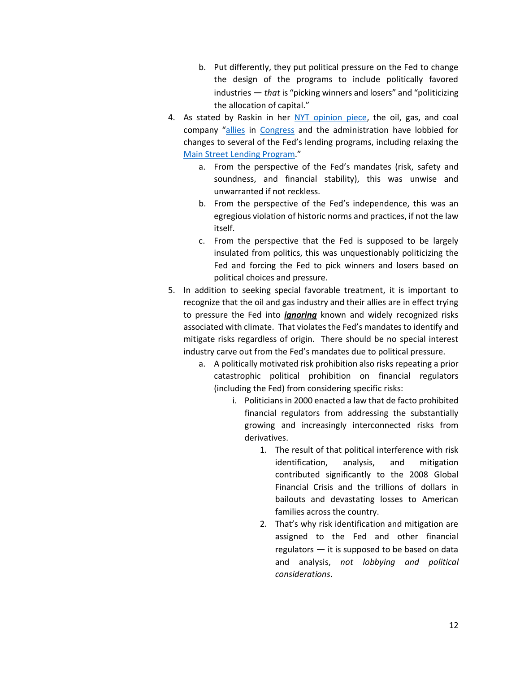- b. Put differently, they put political pressure on the Fed to change the design of the programs to include politically favored industries  $-$  *that* is "picking winners and losers" and "politicizing the allocation of capital."
- 4. As stated by Raskin in her [NYT opinion piece,](https://www.nytimes.com/2020/05/28/opinion/fed-fossil-fuels.html) the oil, gas, and coal company "[allies](https://www.cruz.senate.gov/imo/media/doc/Letters/4.24.2020%20Oil%20Gas%20Fed%20Lending%20Facility%20Letter.pdf) in [Congress](https://senatorkevincramer.app.box.com/s/981sfgn44nmkr8fq5hhf6xryxro6fyvp) and the administration have lobbied for changes to several of the Fed's lending programs, including relaxing the Main Street [Lending Program.](https://www.bloomberg.com/news/articles/2020-05-12/energy-chief-says-fed-was-asked-to-expand-lending-for-oil-firms)"
	- a. From the perspective of the Fed's mandates (risk, safety and soundness, and financial stability), this was unwise and unwarranted if not reckless.
	- b. From the perspective of the Fed's independence, this was an egregious violation of historic norms and practices, if not the law itself.
	- c. From the perspective that the Fed is supposed to be largely insulated from politics, this was unquestionably politicizing the Fed and forcing the Fed to pick winners and losers based on political choices and pressure.
- 5. In addition to seeking special favorable treatment, it is important to recognize that the oil and gas industry and their allies are in effect trying to pressure the Fed into *ignoring* known and widely recognized risks associated with climate. That violates the Fed's mandates to identify and mitigate risks regardless of origin. There should be no special interest industry carve out from the Fed's mandates due to political pressure.
	- a. A politically motivated risk prohibition also risks repeating a prior catastrophic political prohibition on financial regulators (including the Fed) from considering specific risks:
		- i. Politicians in 2000 enacted a law that de facto prohibited financial regulators from addressing the substantially growing and increasingly interconnected risks from derivatives.
			- 1. The result of that political interference with risk identification, analysis, and mitigation contributed significantly to the 2008 Global Financial Crisis and the trillions of dollars in bailouts and devastating losses to American families across the country.
			- 2. That's why risk identification and mitigation are assigned to the Fed and other financial regulators  $-$  it is supposed to be based on data and analysis, *not lobbying and political considerations*.